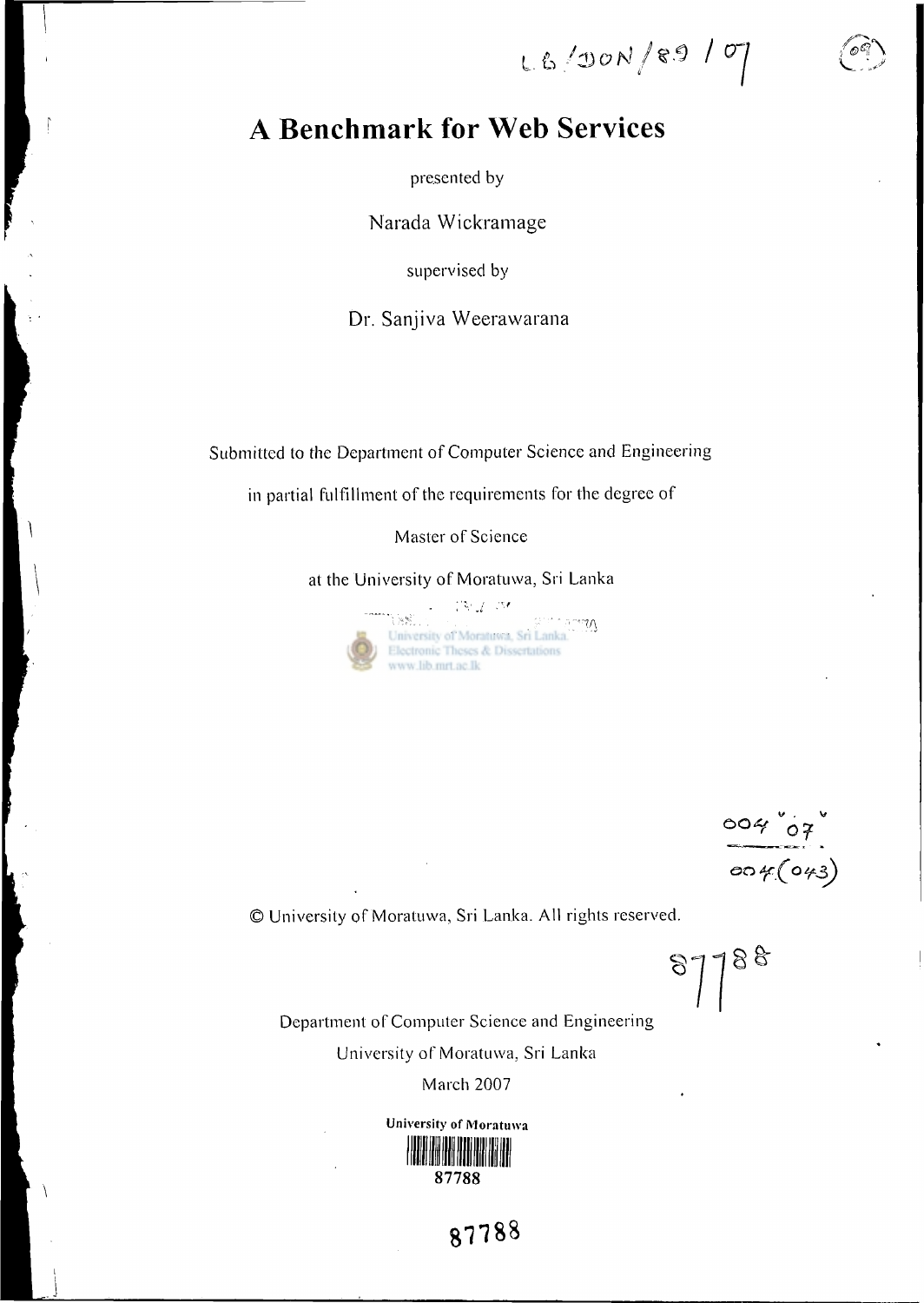LE/DON/89/07

## A **Benchmark for Web Services**

presented by

**Narada Wickramage** 

supervised by

**Dr. Sanjiva Weerawarana** 

Submitted to the Department of Computer Science and Engineering

in partial fulfillment of the requirements for the degree of

Master of Science

at the University of Moratuwa, Sri Lanka

 $V\subset V\subset V$ **Suri Joha** University of Moratuwa, Sri Lanka. Electronic Theses & Dissertations www.lib.mrt.ac.lk

 $\frac{004007}{0004(043)}$ 

© University of Moratuwa, Sri Lanka. All rights reserved.

87788

Department of Computer Science and Engineering University of Moratuwa, Sri Lanka

March 2007



87788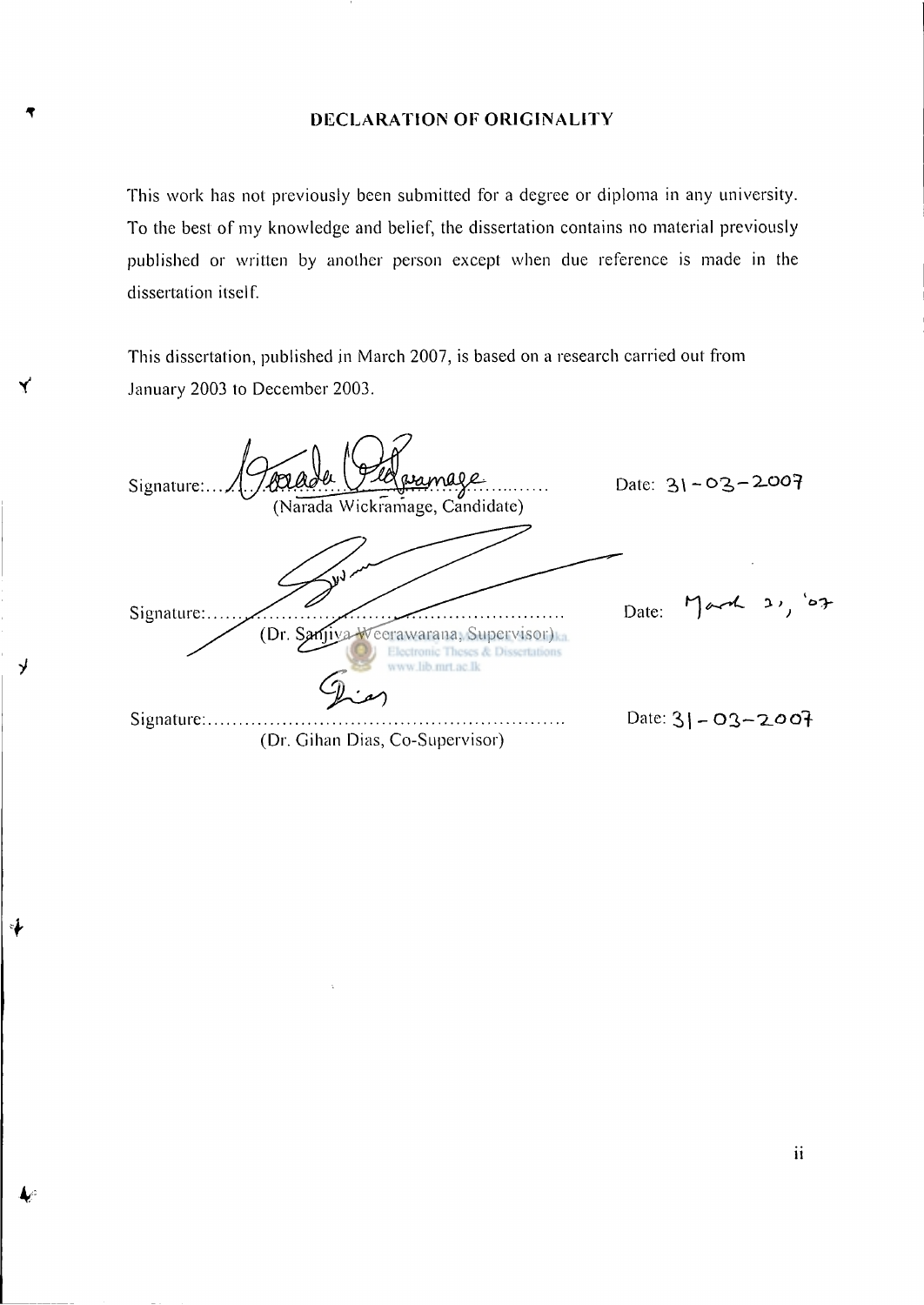#### DECLARATION OF ORIGINALITY

This work has not previously been submitted for a degree or diploma in any university. To the best of my knowledge and belief, the dissertation contains no material previously published or written by another person except when due reference is made in the dissertation itself.

This dissertation, published in March 2007, is based on a research carried out from **V** January 2003 to December 2003.

y

Date:  $31 - 03 - 2007$ Signature: . . . . . . . . . (Narada Wickramage, Candidate) March 21, 07 Date: Signature:... (Dr. Sanjiya eerawarana, Supervisor) **Dissertations** ww.lib.mrt.ac.lk Signature: Date: **2,( -** 03 <sup>&</sup>gt; ~'2 **\_OO f**  (Dr. Gihan Dias, Co-Supervisor)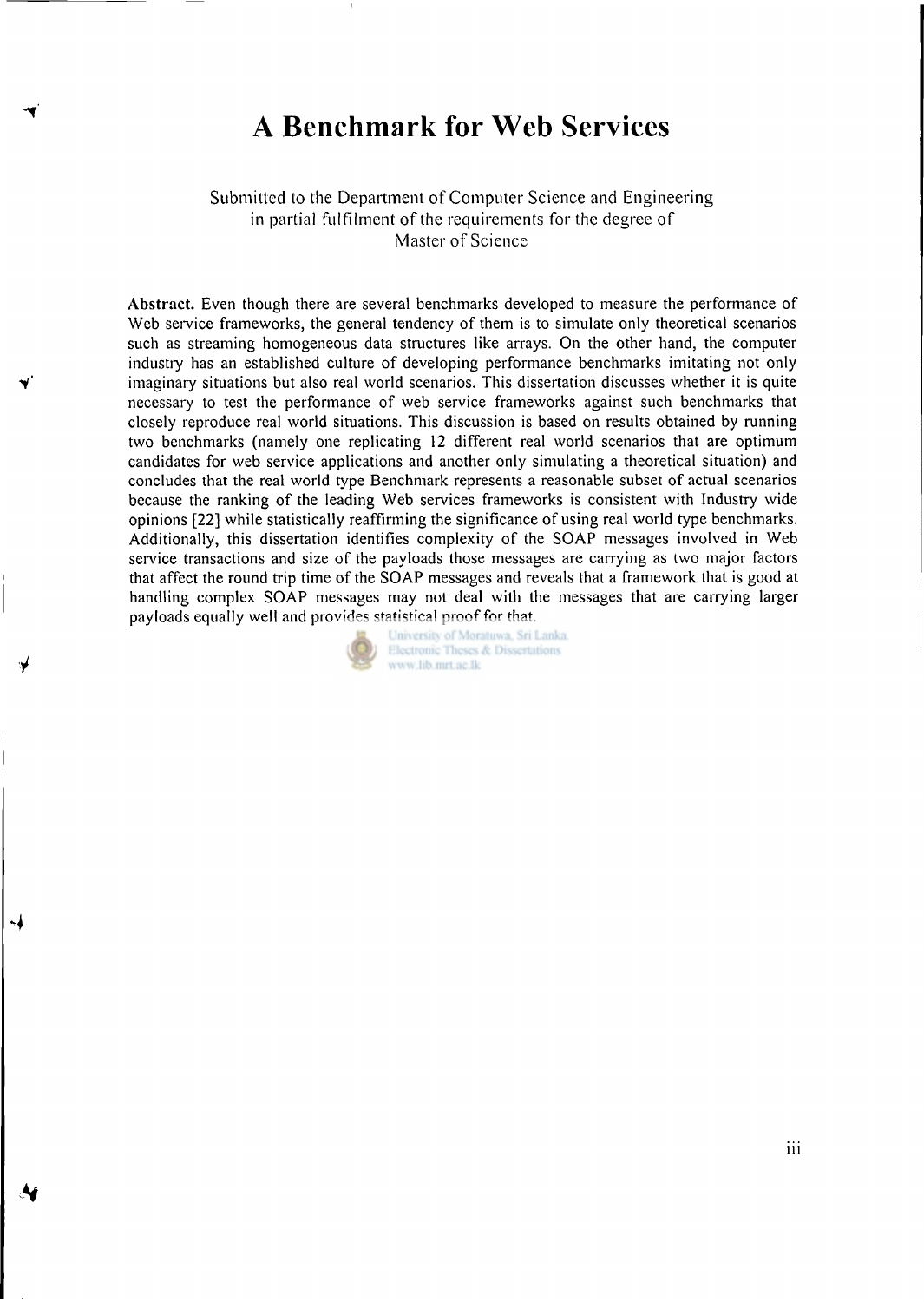### **A Benchmark for Web Services**

Submitted to the Department of Computer Science and Engineering in partial fulfilment of the requirements for the degree of Master of Science

Abstract. Even though there are several benchmarks developed to measure the performance of Web service frameworks, the general tendency of them is to simulate only theoretical scenarios such as streaming homogeneous data structures like arrays. On the other hand, the computer industry has an established culture of developing performance benchmarks imitating not only imaginary situations but also real world scenarios. This dissertation discusses whether it is quite necessary to test the performance of web service frameworks against such benchmarks that closely reproduce real world situations. This discussion is based on results obtained by running two benchmarks (namely one replicating 12 different real world scenarios that are optimum candidates for web service applications and another only simulating a theoretical situation) and concludes that the real world type Benchmark represents a reasonable subset of actual scenarios because the ranking of the leading Web services frameworks is consistent with Industry wide opinions [22] while statistically reaffirming the significance of using real world type benchmarks. Additionally, this dissertation identifies complexity of the SOAP messages involved in Web service transactions and size of the payloads those messages are carrying as two major factors that affect the round trip time of the SOAP messages and reveals that a framework that is good at handling complex SOAP messages may not deal with the messages that are carrying larger payloads equally well and provides statistical proof for that.

> University of Moratuwa, Sri Lanka. Electronic Theses & Dissertations www.lib.mrt.ac.lk

> > **in**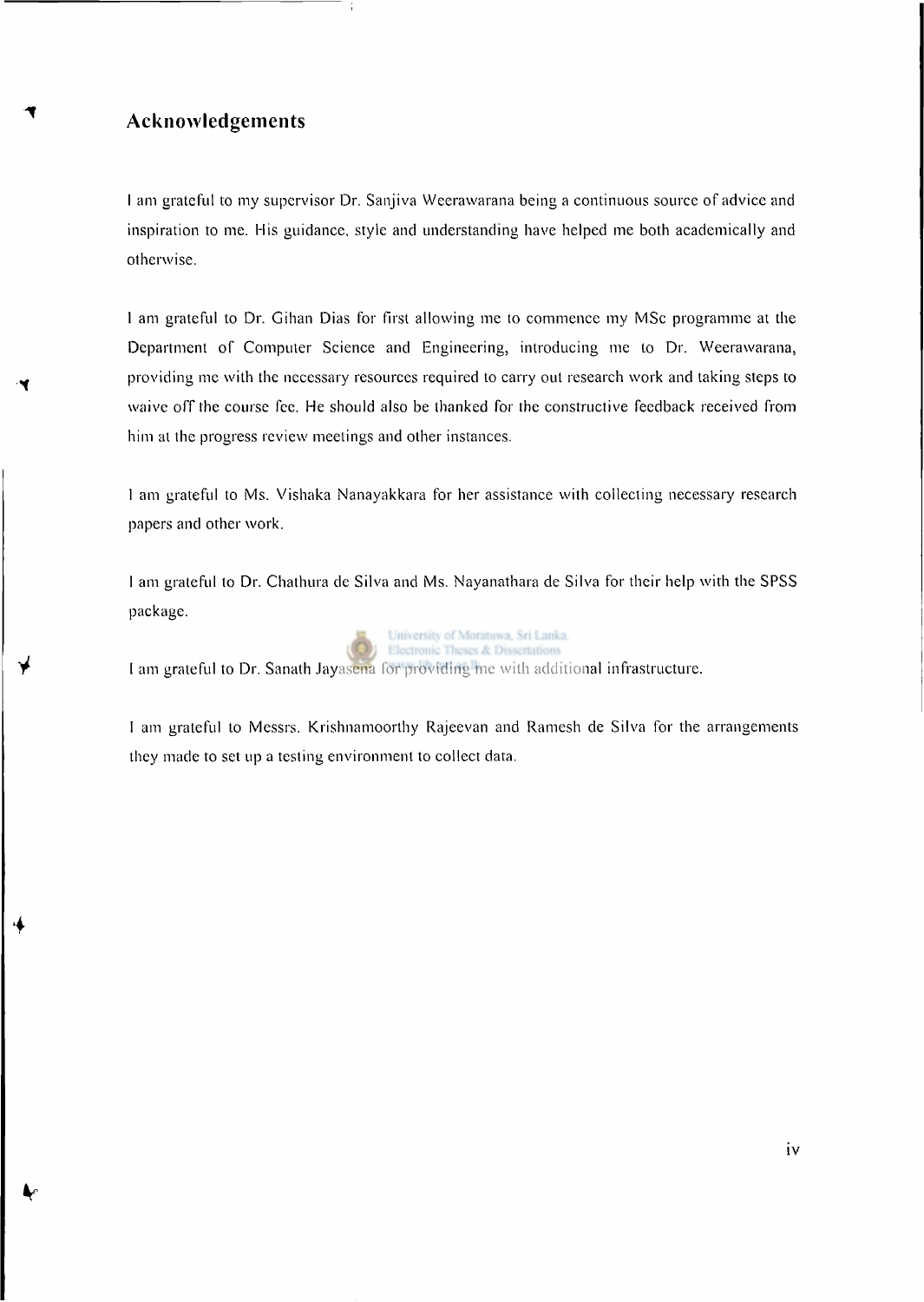#### **Acknowledgements**

I **am grateful to my supervisor Dr. Sanjiva Weerawarana being a continuous source of advice and inspiration to me. His guidance, style and understanding have helped me both academically and otherwise.** 

**1 am grateful to Dr. Gihan Dias for first allowing me to commence my MSc programme at the Department of Computer Science and Engineering, introducing me to Dr. Weerawarana, providing me with the necessary resources required to carry out research work and taking steps to waive off the course fee. He should also be thanked for the constructive feedback received from him at the progress review meetings and other instances.** 

**1 am grateful to Ms. Vishaka Nanayakkara for her assistance with collecting necessary research papers and other work.** 

**1 am grateful to Dr. Chathura de Silva and Ms. Nayanathara de Silva for their help with the SPSS package.** 



I **am grateful to Dr. Sanath Jayasena for providing me with additional infrastructure.** 

**I am grateful to Messrs. Krishnamoorthy Rajeevan and Ramesh de Silva for the arrangements they made to set up a testing environment to collect data.**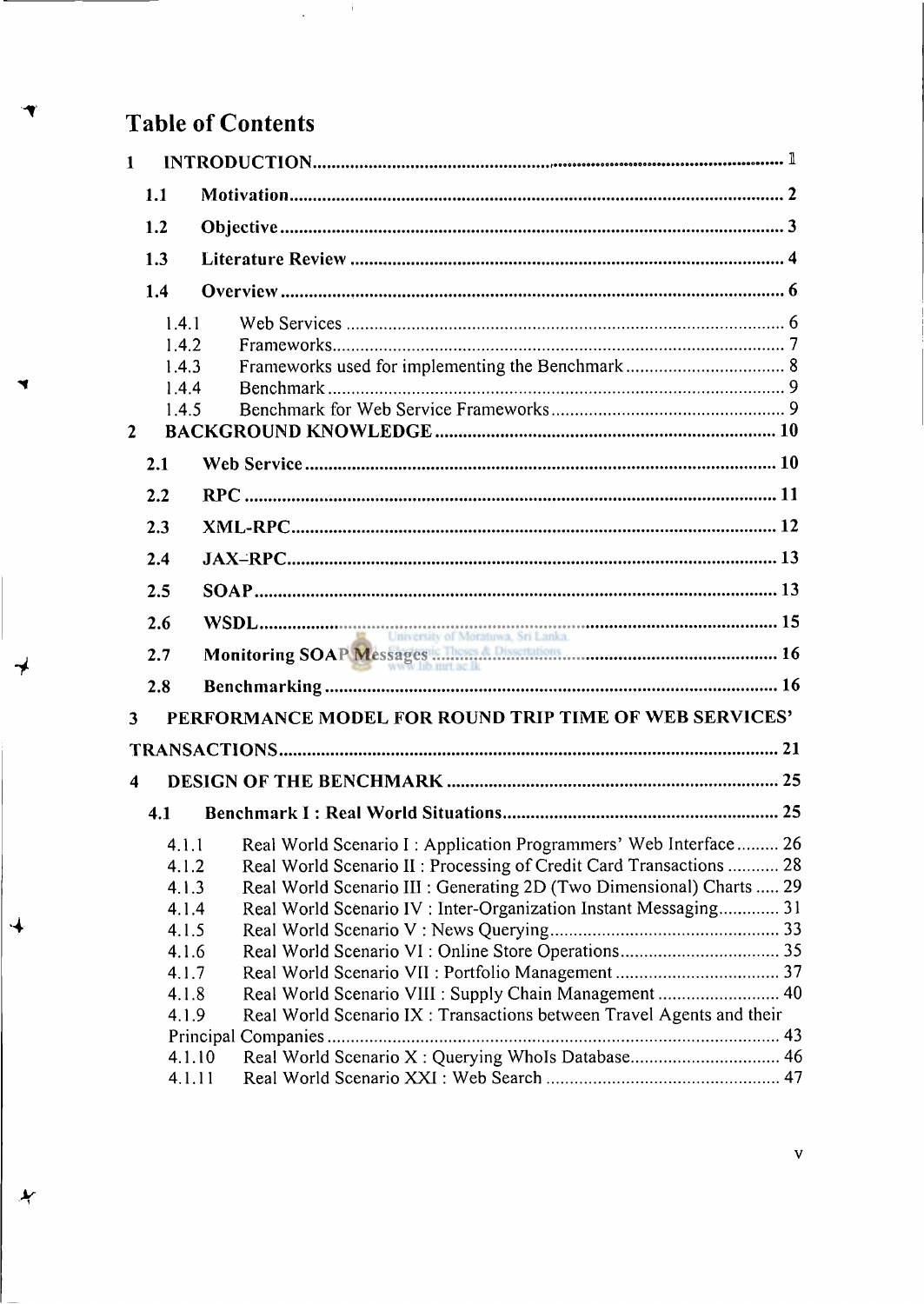### **Table of Contents**

⊀

 $\overline{\mathcal{A}}$ 

 $\boldsymbol{\star}$ 

 $\hat{\mathbf{r}}$ 

 $\ddot{\phantom{a}}$ 

| $\mathbf{1}$         |                |                                                                        |  |
|----------------------|----------------|------------------------------------------------------------------------|--|
|                      | 1.1            |                                                                        |  |
|                      | 1.2            |                                                                        |  |
|                      | 1.3            |                                                                        |  |
|                      | 1.4            |                                                                        |  |
|                      | 1.4.1          |                                                                        |  |
|                      | 1.4.2          |                                                                        |  |
|                      | 1.4.3          |                                                                        |  |
|                      | 1.4.4<br>1.4.5 |                                                                        |  |
| $\mathbf{2}$         |                |                                                                        |  |
|                      | 2.1            |                                                                        |  |
|                      |                |                                                                        |  |
|                      | 2.2            |                                                                        |  |
|                      | 2.3            |                                                                        |  |
|                      | 2.4            |                                                                        |  |
|                      | 2.5            |                                                                        |  |
|                      | 2.6            | University of Moratuwa, Sri Lanka.                                     |  |
|                      | 2.7            |                                                                        |  |
|                      | 2.8            |                                                                        |  |
| $\mathbf{3}$         |                | PERFORMANCE MODEL FOR ROUND TRIP TIME OF WEB SERVICES'                 |  |
|                      |                |                                                                        |  |
| $\blacktriangleleft$ |                |                                                                        |  |
|                      | 4.1            |                                                                        |  |
|                      |                | 4.1.1 Real World Scenario I: Application Programmers' Web Interface 26 |  |
|                      | 4.1.2          | Real World Scenario II: Processing of Credit Card Transactions  28     |  |
|                      | 4.1.3          | Real World Scenario III : Generating 2D (Two Dimensional) Charts  29   |  |
|                      | 4.1.4          | Real World Scenario IV: Inter-Organization Instant Messaging 31        |  |
|                      | 4.1.5          |                                                                        |  |
|                      | 4.1.6<br>4.1.7 |                                                                        |  |
|                      | 4.1.8          | Real World Scenario VIII : Supply Chain Management  40                 |  |
|                      | 4.1.9          | Real World Scenario IX: Transactions between Travel Agents and their   |  |
|                      |                |                                                                        |  |
|                      | 4.1.10         | Real World Scenario X: Querying WhoIs Database 46                      |  |
|                      | 4.1.11         |                                                                        |  |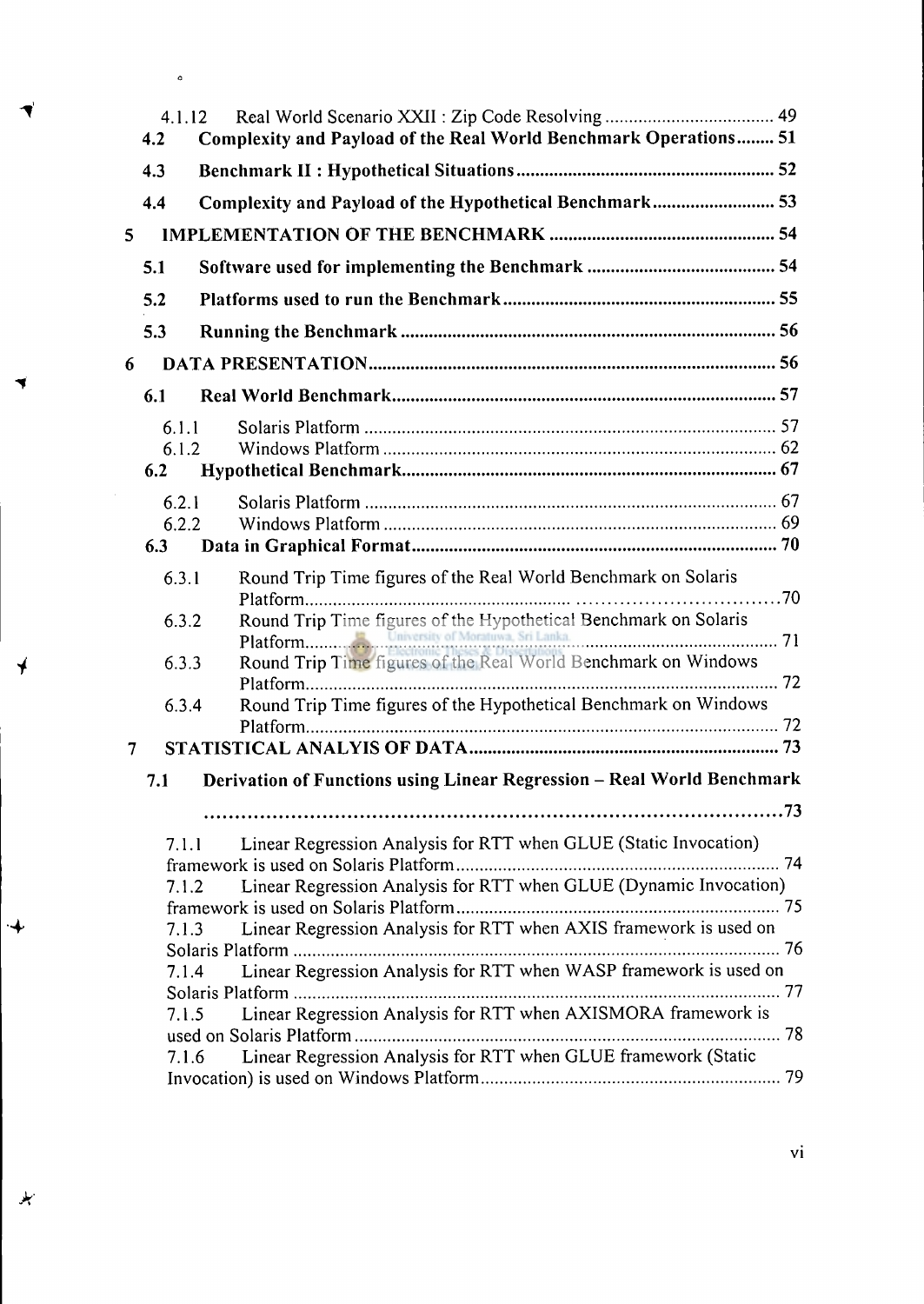| 4.2            | 4.1.12<br>Complexity and Payload of the Real World Benchmark Operations 51 |  |
|----------------|----------------------------------------------------------------------------|--|
| 4.3            |                                                                            |  |
| 4.4            | Complexity and Payload of the Hypothetical Benchmark 53                    |  |
| 5              |                                                                            |  |
| 5.1            |                                                                            |  |
| 5.2            |                                                                            |  |
| 5.3            |                                                                            |  |
| 6              |                                                                            |  |
| 6.1            |                                                                            |  |
| 6.1.1          |                                                                            |  |
| 6.1.2          |                                                                            |  |
| 6.2            |                                                                            |  |
| 6.2.1          |                                                                            |  |
| 6.2.2          |                                                                            |  |
| 6.3            |                                                                            |  |
| 6.3.1          | Round Trip Time figures of the Real World Benchmark on Solaris             |  |
|                |                                                                            |  |
| 6.3.2          | Round Trip Time figures of the Hypothetical Benchmark on Solaris           |  |
|                |                                                                            |  |
| 6.3.3          | Round Trip Time figures of the Real World Benchmark on Windows             |  |
|                | Platform                                                                   |  |
| 6.3.4          | Round Trip Time figures of the Hypothetical Benchmark on Windows           |  |
| $\overline{7}$ |                                                                            |  |
|                |                                                                            |  |
| 7.1            | Derivation of Functions using Linear Regression - Real World Benchmark     |  |
|                |                                                                            |  |
| 7.1.1          | Linear Regression Analysis for RTT when GLUE (Static Invocation)           |  |
|                |                                                                            |  |
|                | Linear Regression Analysis for RTT when GLUE (Dynamic Invocation)<br>7.1.2 |  |
|                |                                                                            |  |
|                | Linear Regression Analysis for RTT when AXIS framework is used on<br>7.1.3 |  |
|                | Linear Regression Analysis for RTT when WASP framework is used on<br>7.1.4 |  |
|                |                                                                            |  |
|                | Linear Regression Analysis for RTT when AXISMORA framework is<br>7.1.5     |  |
|                |                                                                            |  |
|                | Linear Regression Analysis for RTT when GLUE framework (Static<br>7.1.6    |  |
|                |                                                                            |  |

vi

 $\overline{\mathbf{r}}$ 

 $\ddot{\bullet}$ 

 $\ddot{\phantom{a}}$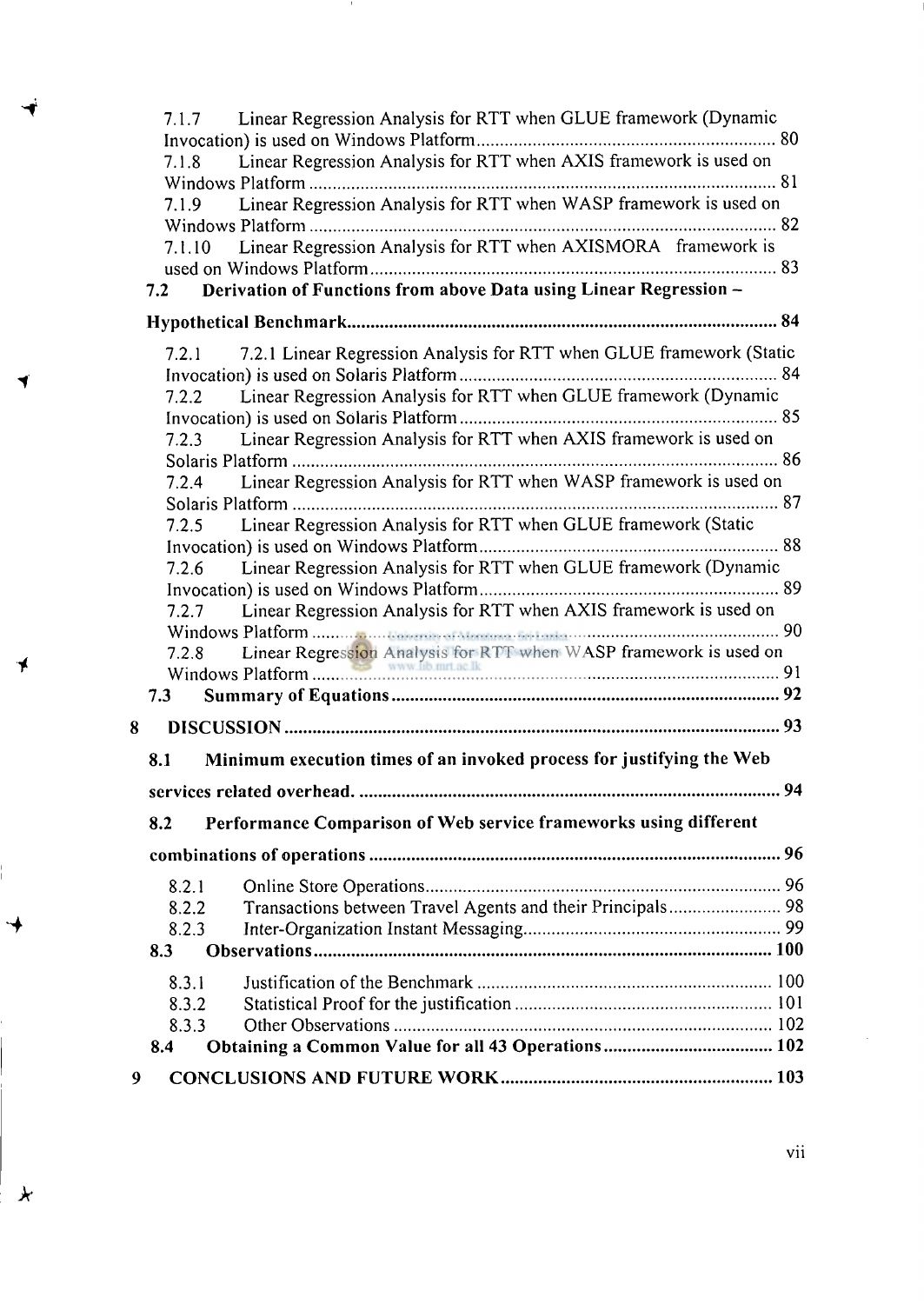|       | 7.1.7 Linear Regression Analysis for RTT when GLUE framework (Dynamic      |  |
|-------|----------------------------------------------------------------------------|--|
|       |                                                                            |  |
| 7.1.8 | Linear Regression Analysis for RTT when AXIS framework is used on          |  |
|       |                                                                            |  |
|       | 7.1.9 Linear Regression Analysis for RTT when WASP framework is used on    |  |
|       |                                                                            |  |
|       | 7.1.10 Linear Regression Analysis for RTT when AXISMORA framework is       |  |
|       |                                                                            |  |
|       | 7.2 Derivation of Functions from above Data using Linear Regression -      |  |
|       |                                                                            |  |
|       | 7.2.1 7.2.1 Linear Regression Analysis for RTT when GLUE framework (Static |  |
|       |                                                                            |  |
|       | 7.2.2 Linear Regression Analysis for RTT when GLUE framework (Dynamic      |  |
|       |                                                                            |  |
|       | Linear Regression Analysis for RTT when AXIS framework is used on<br>7.2.3 |  |
|       |                                                                            |  |
|       | 7.2.4 Linear Regression Analysis for RTT when WASP framework is used on    |  |
|       |                                                                            |  |
|       | 7.2.5 Linear Regression Analysis for RTT when GLUE framework (Static       |  |
|       |                                                                            |  |
|       | 7.2.6 Linear Regression Analysis for RTT when GLUE framework (Dynamic      |  |
|       |                                                                            |  |
|       | 7.2.7 Linear Regression Analysis for RTT when AXIS framework is used on    |  |
|       |                                                                            |  |
|       |                                                                            |  |
|       |                                                                            |  |
|       |                                                                            |  |
| 8     |                                                                            |  |
| 8.1   | Minimum execution times of an invoked process for justifying the Web       |  |
|       |                                                                            |  |
| 8.2   | Performance Comparison of Web service frameworks using different           |  |
|       |                                                                            |  |
|       | 8.2.1                                                                      |  |
|       | 8.2.2                                                                      |  |
|       | 8.2.3                                                                      |  |
| 8.3   |                                                                            |  |
|       |                                                                            |  |
|       | 8.3.1                                                                      |  |
|       | 8.3.2                                                                      |  |
|       | 8.3.3                                                                      |  |
| 8.4   | Obtaining a Common Value for all 43 Operations 102                         |  |
| 9     |                                                                            |  |

 $\mathcal{I}$ 

⇥

 $\star$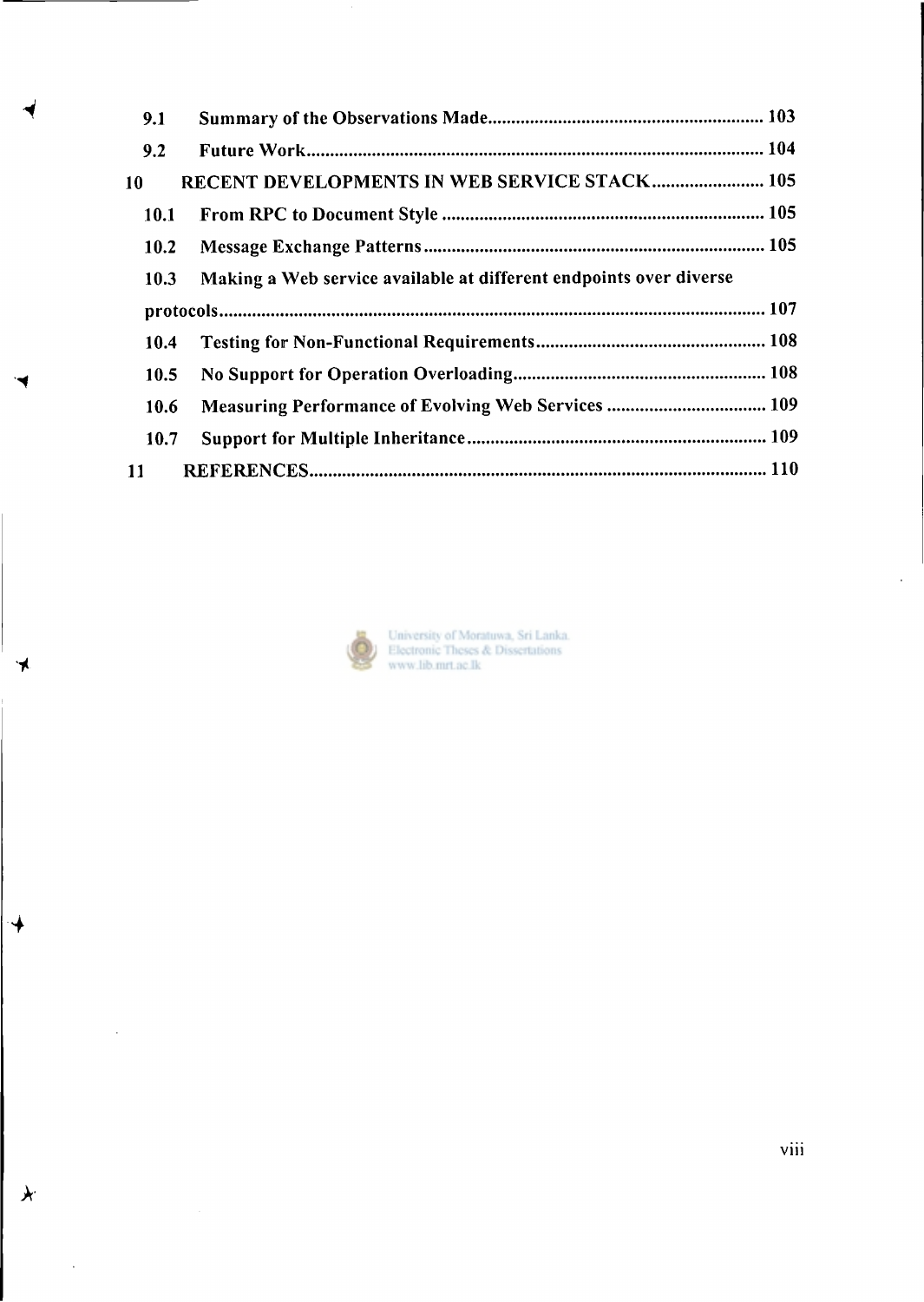| 9.1  |                                                                    |
|------|--------------------------------------------------------------------|
| 9.2  |                                                                    |
| -10  | RECENT DEVELOPMENTS IN WEB SERVICE STACK 105                       |
| 10.1 |                                                                    |
| 10.2 |                                                                    |
| 10.3 | Making a Web service available at different endpoints over diverse |
|      |                                                                    |
| 10.4 |                                                                    |
|      |                                                                    |
| 10.5 |                                                                    |
| 10.6 | Measuring Performance of Evolving Web Services  109                |
| 10.7 |                                                                    |



**4** 

ั⊀

*k* 

 $\hat{\mathcal{A}}$ 

 $\sim 10^{-10}$ 

University of Moratuwa, Sri Lanka.<br>Electronic Theses & Dissertations<br>www.lib.mrt.ac.lk

viii

 $\hat{\mathcal{L}}$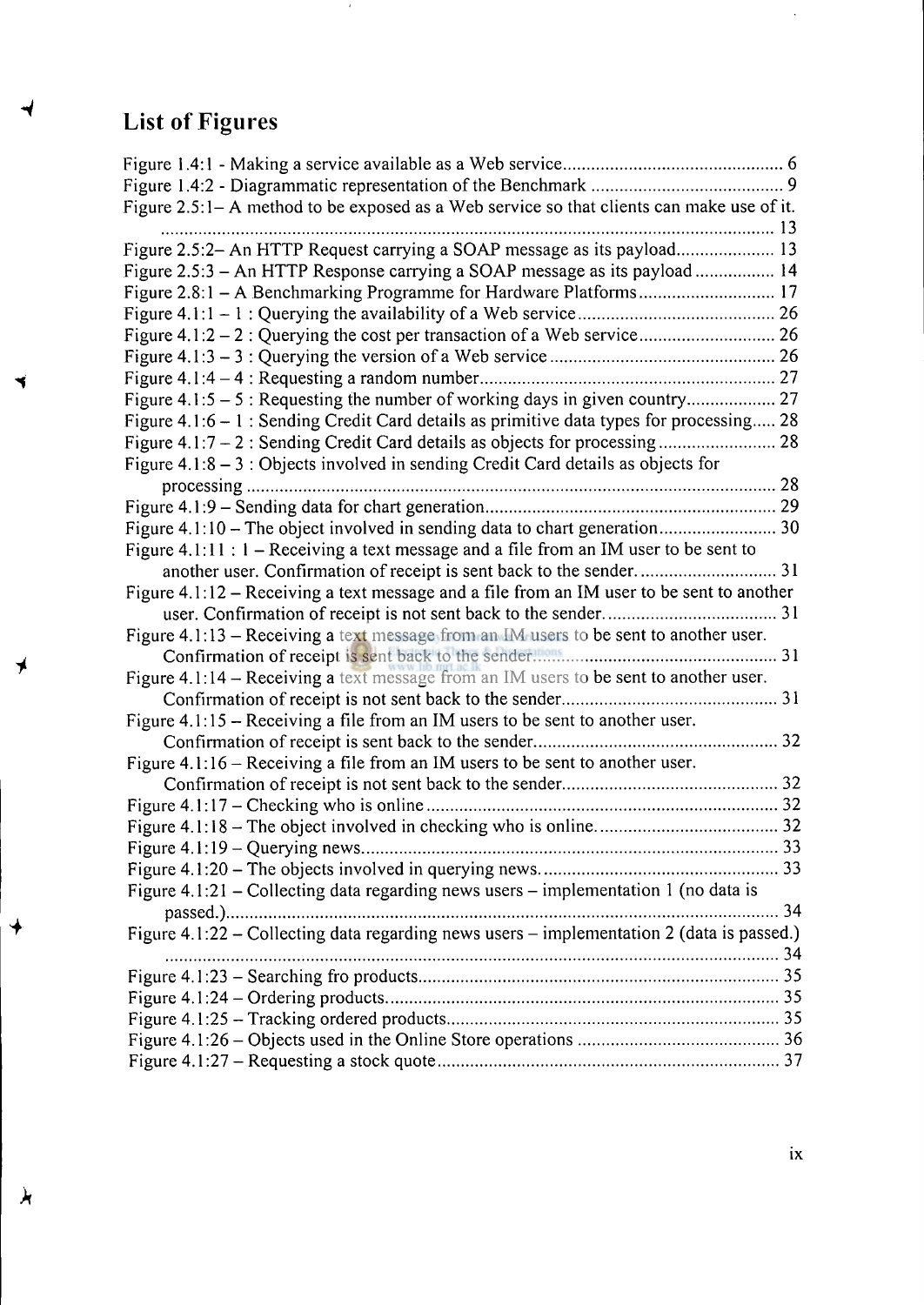# **List of Figures**

◀

◀

 $\neq$ 

 $\overline{\mathcal{F}}$ 

 $\lambda$ 

| Figure 2.5:1- A method to be exposed as a Web service so that clients can make use of it.   |  |
|---------------------------------------------------------------------------------------------|--|
|                                                                                             |  |
| Figure 2.5:2- An HTTP Request carrying a SOAP message as its payload 13                     |  |
| Figure 2.5:3 - An HTTP Response carrying a SOAP message as its payload 14                   |  |
|                                                                                             |  |
|                                                                                             |  |
|                                                                                             |  |
|                                                                                             |  |
|                                                                                             |  |
|                                                                                             |  |
| Figure $4.1:6 - 1$ : Sending Credit Card details as primitive data types for processing 28  |  |
|                                                                                             |  |
| Figure $4.1:8 - 3:$ Objects involved in sending Credit Card details as objects for          |  |
|                                                                                             |  |
|                                                                                             |  |
|                                                                                             |  |
| Figure 4.1:11 : $1 -$ Receiving a text message and a file from an IM user to be sent to     |  |
|                                                                                             |  |
| Figure $4.1:12$ – Receiving a text message and a file from an IM user to be sent to another |  |
|                                                                                             |  |
| Figure 4.1:13 – Receiving a text message from an IM users to be sent to another user.       |  |
|                                                                                             |  |
| Figure 4.1:14 - Receiving a text message from an IM users to be sent to another user.       |  |
|                                                                                             |  |
| Figure $4.1:15$ – Receiving a file from an IM users to be sent to another user.             |  |
|                                                                                             |  |
| Figure $4.1:16$ – Receiving a file from an IM users to be sent to another user.             |  |
|                                                                                             |  |
|                                                                                             |  |
|                                                                                             |  |
| 33                                                                                          |  |
|                                                                                             |  |
| Figure 4.1:21 – Collecting data regarding news users – implementation 1 (no data is         |  |
|                                                                                             |  |
| Figure 4.1:22 – Collecting data regarding news users – implementation 2 (data is passed.)   |  |
|                                                                                             |  |
|                                                                                             |  |
|                                                                                             |  |
|                                                                                             |  |
|                                                                                             |  |
|                                                                                             |  |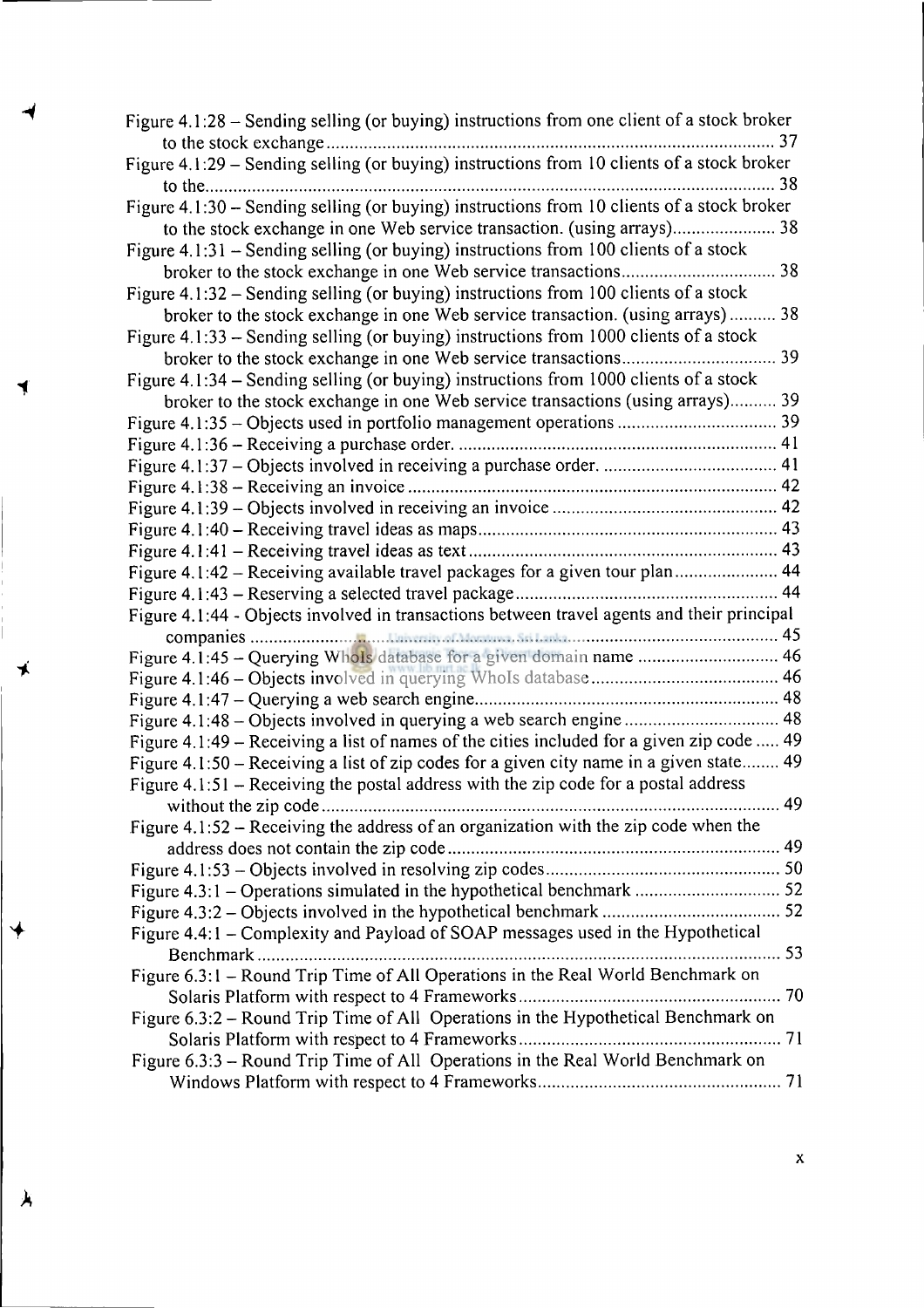| Figure 4.1:28 – Sending selling (or buying) instructions from one client of a stock broker |  |
|--------------------------------------------------------------------------------------------|--|
| Figure 4.1:29 - Sending selling (or buying) instructions from 10 clients of a stock broker |  |
|                                                                                            |  |
| Figure 4.1:30 - Sending selling (or buying) instructions from 10 clients of a stock broker |  |
|                                                                                            |  |
| Figure 4.1:31 - Sending selling (or buying) instructions from 100 clients of a stock       |  |
|                                                                                            |  |
| Figure 4.1:32 – Sending selling (or buying) instructions from 100 clients of a stock       |  |
| broker to the stock exchange in one Web service transaction. (using arrays) 38             |  |
| Figure 4.1:33 - Sending selling (or buying) instructions from 1000 clients of a stock      |  |
|                                                                                            |  |
| Figure 4.1:34 - Sending selling (or buying) instructions from 1000 clients of a stock      |  |
| broker to the stock exchange in one Web service transactions (using arrays) 39             |  |
|                                                                                            |  |
|                                                                                            |  |
|                                                                                            |  |
|                                                                                            |  |
|                                                                                            |  |
|                                                                                            |  |
|                                                                                            |  |
| Figure 4.1:42 - Receiving available travel packages for a given tour plan 44               |  |
|                                                                                            |  |
| Figure 4.1:44 - Objects involved in transactions between travel agents and their principal |  |
|                                                                                            |  |
| Figure 4.1:45 - Querying Whols database for a given domain name  46                        |  |
|                                                                                            |  |
| Figure 4.1:48 - Objects involved in querying a web search engine  48                       |  |
| Figure 4.1:49 – Receiving a list of names of the cities included for a given zip code  49  |  |
| Figure 4.1:50 - Receiving a list of zip codes for a given city name in a given state 49    |  |
| Figure $4.1:51$ – Receiving the postal address with the zip code for a postal address      |  |
|                                                                                            |  |
| Figure 4.1:52 - Receiving the address of an organization with the zip code when the        |  |
|                                                                                            |  |
|                                                                                            |  |
|                                                                                            |  |
|                                                                                            |  |
| Figure 4.4:1 - Complexity and Payload of SOAP messages used in the Hypothetical            |  |
|                                                                                            |  |
| Figure 6.3:1 - Round Trip Time of All Operations in the Real World Benchmark on            |  |
|                                                                                            |  |
| Figure 6.3:2 – Round Trip Time of All Operations in the Hypothetical Benchmark on          |  |
|                                                                                            |  |
| Figure 6.3:3 - Round Trip Time of All Operations in the Real World Benchmark on            |  |
|                                                                                            |  |

 $\overline{\triangledown}$ 

 $\lambda$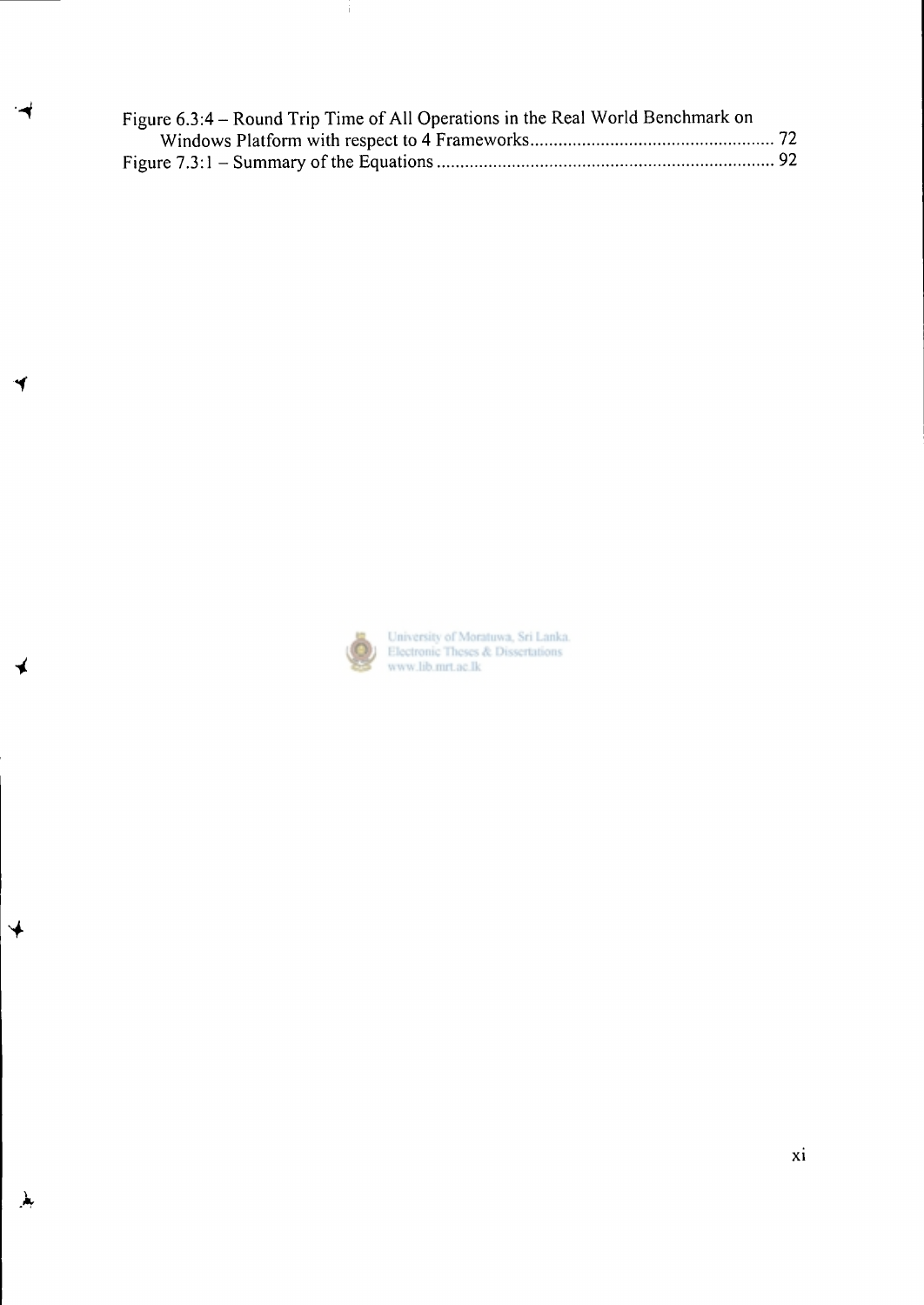| Figure 6.3:4 – Round Trip Time of All Operations in the Real World Benchmark on |  |
|---------------------------------------------------------------------------------|--|
|                                                                                 |  |
|                                                                                 |  |

 $\ddot{1}$ 



*4* 

 $\blacklozenge$ 

 $\lambda$ 

University of Moratuwa, Sri Lanka.<br>Electronic Theses & Dissertations<br>www.lib.mrt.ac.lk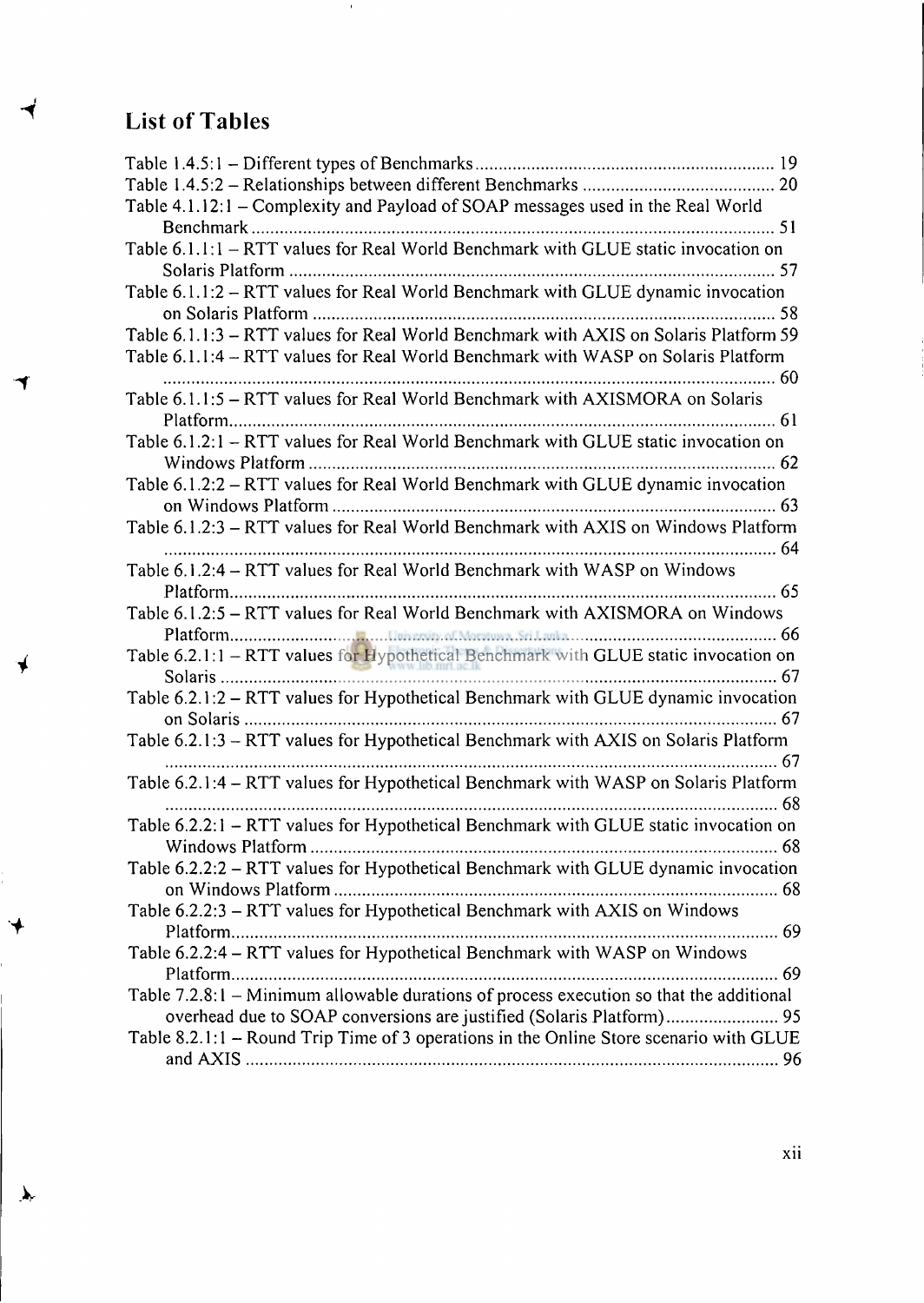## **List of Tables**

 $\blacktriangleleft$ 

ィ

 $\blacklozenge$ 

 $\lambda$ 

 $\bar{A}$ 

| Table 4.1.12:1 – Complexity and Payload of SOAP messages used in the Real World           |
|-------------------------------------------------------------------------------------------|
|                                                                                           |
| Table 6.1.1:1 - RTT values for Real World Benchmark with GLUE static invocation on        |
|                                                                                           |
| Table 6.1.1:2 - RTT values for Real World Benchmark with GLUE dynamic invocation          |
|                                                                                           |
| Table 6.1.1:3 - RTT values for Real World Benchmark with AXIS on Solaris Platform 59      |
| Table 6.1.1:4 - RTT values for Real World Benchmark with WASP on Solaris Platform         |
|                                                                                           |
| Table 6.1.1:5 - RTT values for Real World Benchmark with AXISMORA on Solaris              |
|                                                                                           |
| Table 6.1.2:1 - RTT values for Real World Benchmark with GLUE static invocation on        |
|                                                                                           |
| Table 6.1.2:2 - RTT values for Real World Benchmark with GLUE dynamic invocation          |
|                                                                                           |
| Table 6.1.2:3 - RTT values for Real World Benchmark with AXIS on Windows Platform         |
|                                                                                           |
| Table 6.1.2:4 – RTT values for Real World Benchmark with WASP on Windows                  |
|                                                                                           |
| Table 6.1.2:5 - RTT values for Real World Benchmark with AXISMORA on Windows              |
|                                                                                           |
|                                                                                           |
|                                                                                           |
| Table 6.2.1:2 - RTT values for Hypothetical Benchmark with GLUE dynamic invocation        |
|                                                                                           |
| Table 6.2.1:3 - RTT values for Hypothetical Benchmark with AXIS on Solaris Platform       |
|                                                                                           |
| Table 6.2.1:4 - RTT values for Hypothetical Benchmark with WASP on Solaris Platform       |
|                                                                                           |
| Table 6.2.2:1 – RTT values for Hypothetical Benchmark with GLUE static invocation on      |
| 68                                                                                        |
| Table 6.2.2:2 - RTT values for Hypothetical Benchmark with GLUE dynamic invocation        |
|                                                                                           |
| Table 6.2.2:3 - RTT values for Hypothetical Benchmark with AXIS on Windows                |
|                                                                                           |
| Table 6.2.2:4 - RTT values for Hypothetical Benchmark with WASP on Windows                |
|                                                                                           |
| Table $7.2.8:1$ – Minimum allowable durations of process execution so that the additional |
|                                                                                           |
| Table 8.2.1:1 – Round Trip Time of 3 operations in the Online Store scenario with GLUE    |
|                                                                                           |
|                                                                                           |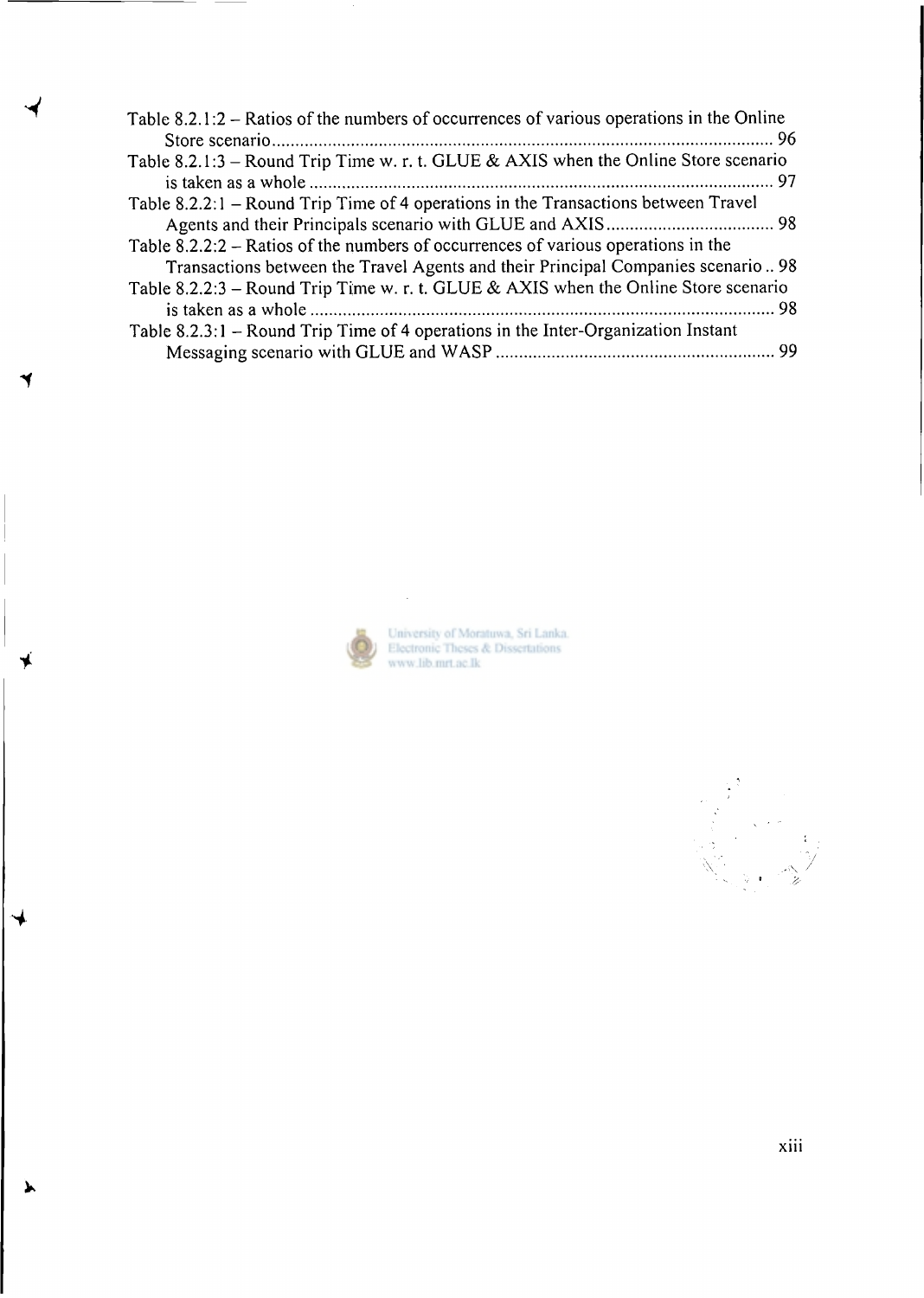

D

 $\blacktriangleright$ 

 $\sim 10$ 

University of Moratuwa, Sri Lanka.<br>Electronic Theses & Dissertations<br>www.lib.mrt.ac.lk